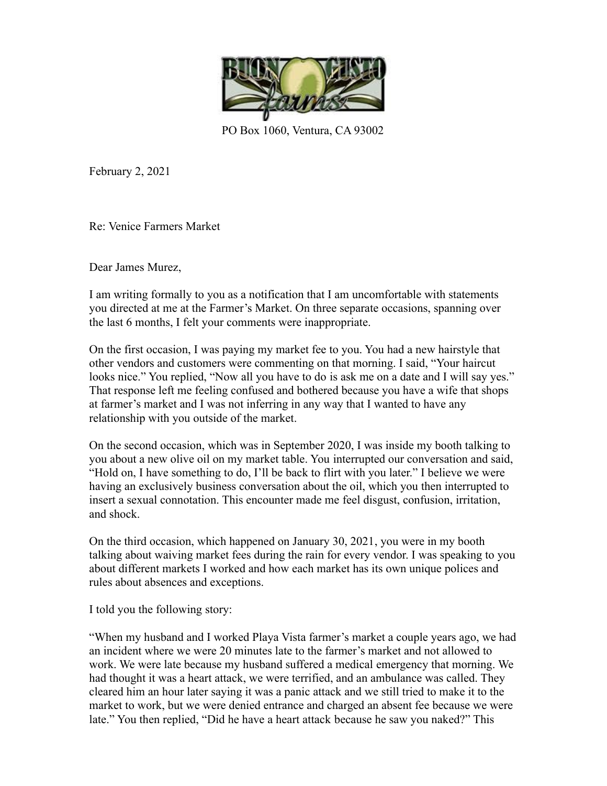

PO Box 1060, Ventura, CA 93002

February 2, 2021

Re: Venice Farmers Market

Dear James Murez,

I am writing formally to you as a notification that I am uncomfortable with statements you directed at me at the Farmer's Market. On three separate occasions, spanning over the last 6 months, I felt your comments were inappropriate.

On the first occasion, I was paying my market fee to you. You had a new hairstyle that other vendors and customers were commenting on that morning. I said, "Your haircut looks nice." You replied, "Now all you have to do is ask me on a date and I will say yes." That response left me feeling confused and bothered because you have a wife that shops at farmer's market and I was not inferring in any way that I wanted to have any relationship with you outside of the market.

On the second occasion, which was in September 2020, I was inside my booth talking to you about a new olive oil on my market table. You interrupted our conversation and said, "Hold on, I have something to do, I'll be back to flirt with you later." I believe we were having an exclusively business conversation about the oil, which you then interrupted to insert a sexual connotation. This encounter made me feel disgust, confusion, irritation, and shock.

On the third occasion, which happened on January 30, 2021, you were in my booth talking about waiving market fees during the rain for every vendor. I was speaking to you about different markets I worked and how each market has its own unique polices and rules about absences and exceptions.

I told you the following story:

"When my husband and I worked Playa Vista farmer's market a couple years ago, we had an incident where we were 20 minutes late to the farmer's market and not allowed to work. We were late because my husband suffered a medical emergency that morning. We had thought it was a heart attack, we were terrified, and an ambulance was called. They cleared him an hour later saying it was a panic attack and we still tried to make it to the market to work, but we were denied entrance and charged an absent fee because we were late." You then replied, "Did he have a heart attack because he saw you naked?" This